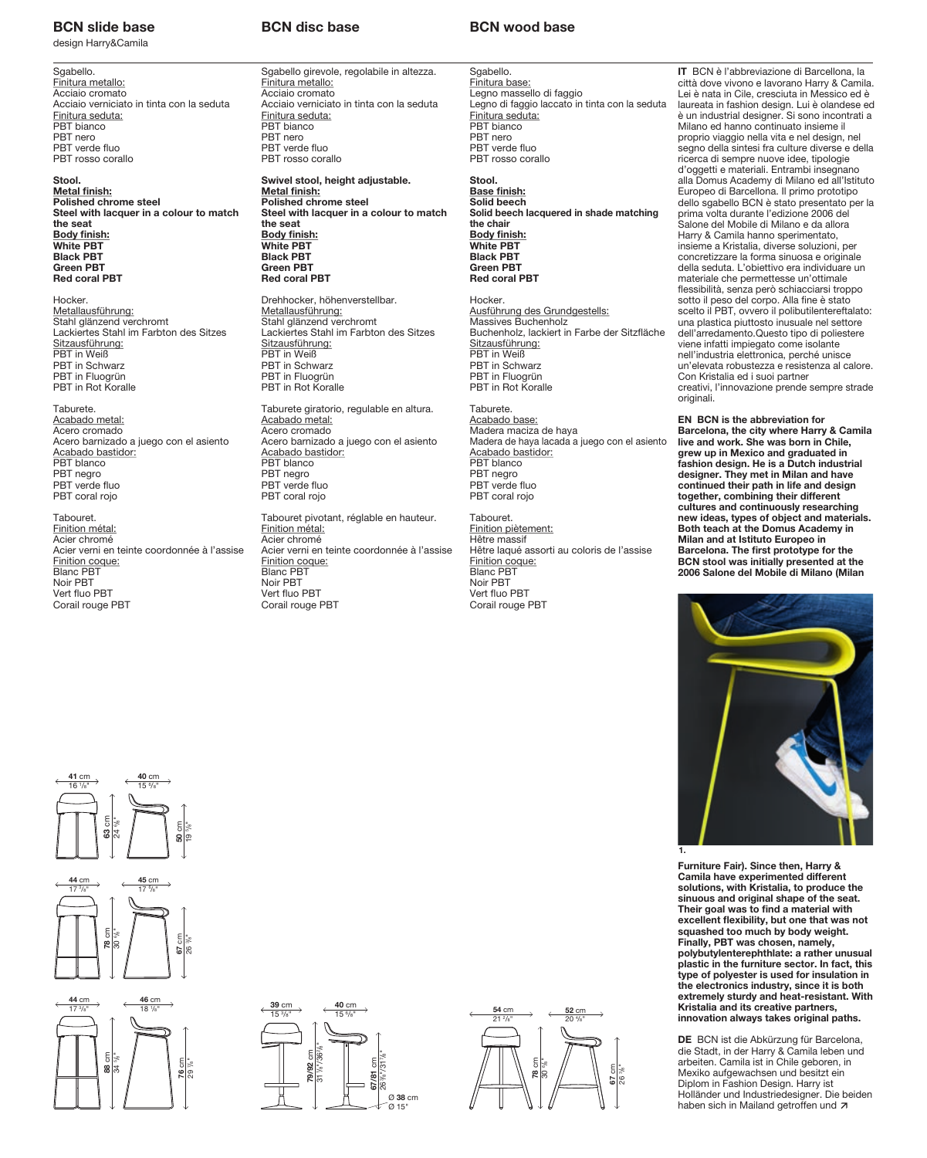## **BCN** slide base **BCN** disc base **BCN** wood base **BCN** slide base

design Harry&Camila

Sgabello. Finitura metallo: Acciaio cromato Acciaio verniciato in tinta con la seduta Finitura seduta: PBT bianco PBT nero PBT verde fluo PBT rosso corallo

**Stool. Metal finish: Polished chrome steel Steel with lacquer in a colour to match the seat Body finish: White PBT Black PBT Green PBT Red coral PBT**

Hocker. Metallausführung: Stahl glänzend verchromt Lackiertes Stahl im Farbton des Sitzes Sitzausführung: PBT in Weiß PBT in Schwarz PBT in Fluogrün PBT in Rot Koralle

Taburete. Acabado metal: Acero cromado Acero barnizado a juego con el asiento <u>Acabado bastidor:</u><br>PBT blanco PBT negro PBT verde fluo PBT coral rojo

Tabouret. Finition métal: Acier chromé Acier verni en teinte coordonnée à l'assise Finition coque: Blanc PBT Noir PBT Vert fluo PBT Corail rouge PBT

## **BCN disc base**

Sgabello girevole, regolabile in altezza. Finitura metallo: Acciaio cromato Acciaio verniciato in tinta con la seduta Finitura seduta: PBT bianco PBT nero PBT verde fluo PBT rosso corallo

**Swivel stool, height adjustable. Metal finish: Polished chrome steel Steel with lacquer in a colour to match the seat Body finish: White PBT Black PBT Green PBT Red coral PBT**

Drehhocker, höhenverstellbar. Metallausführung: Stahl glänzend verchromt Lackiertes Stahl im Farbton des Sitzes Sitzausführung: PBT in Weiß PBT in Schwarz PBT in Fluogrün PBT in Rot Koralle

Taburete giratorio, regulable en altura. Acabado metal: Acero cromado Acero barnizado a juego con el asiento Acabado bastidor: **PBT** blanco PBT negro PBT verde fluo PBT coral rojo Tabouret pivotant, réglable en hauteur.

Finition métal: Acier chromé Acier verni en teinte coordonnée à l'assise Finition coque: Blanc PBT Noir PBT Vert fluo PBT Corail rouge PBT

Sgabello. Finitura base: **Limitana Baso.**<br>Legno massello di faggio Legno di faggio laccato in tinta con la seduta Finitura seduta: PBT bianco PBT nero PBT verde fluo PBT rosso corallo

**Stool. Base finish: Solid beech Solid beech lacquered in shade matching the chair Body finish: White PBT Black PBT Green PBT Red coral PBT**

Hocker. Ausführung des Grundgestells: Massives Buchenholz Buchenholz, lackiert in Farbe der Sitzfläche Sitzausführung: PBT in Weiß PBT in Schwarz PBT in Fluogrün PBT in Rot Koralle

Taburete. <u>Acabado base:</u><br>Madera maciza de haya Madera de haya lacada a juego con el asiento <u>Acabado bastidor:</u><br>PBT blanco PBT negro PBT verde fluo PBT coral rojo

Tabouret. Finition piètement: Hêtre massif Hêtre laqué assorti au coloris de l'assise Finition coque: Blanc PBT Noir PBT Vert fluo PBT Corail rouge PBT

**IT** BCN è l'abbreviazione di Barcellona, la città dove vivono e lavorano Harry & Camila. Lei è nata in Cile, cresciuta in Messico ed è laureata in fashion design. Lui è olandese ed è un industrial designer. Si sono incontrati a Milano ed hanno continuato insieme il proprio viaggio nella vita e nel design, nel segno della sintesi fra culture diverse e della ricerca di sempre nuove idee, tipologie d'oggetti e materiali. Entrambi insegnano alla Domus Academy di Milano ed all'Istituto Europeo di Barcellona. Il primo prototipo dello sgabello BCN è stato presentato per la prima volta durante l'edizione 2006 del Salone del Mobile di Milano e da allora Harry & Camila hanno sperimentato, insieme a Kristalia, diverse soluzioni, per concretizzare la forma sinuosa e originale della seduta. L'obiettivo era individuare un materiale che permettesse un'ottimale !essibilità, senza però schiacciarsi troppo sotto il peso del corpo. Alla fine è stato scelto il PBT, ovvero il polibutilentereftalato: una plastica piuttosto inusuale nel settore dell'arredamento.Questo tipo di poliestere viene infatti impiegato come isolante nell'industria elettronica, perché unisce un'elevata robustezza e resistenza al calore. Con Kristalia ed i suoi partner creativi, l'innovazione prende sempre strade originali.

**EN BCN is the abbreviation for Barcelona, the city where Harry & Camila live and work. She was born in Chile, grew up in Mexico and graduated in fashion design. He is a Dutch industrial designer. They met in Milan and have continued their path in life and design together, combining their different cultures and continuously researching new ideas, types of object and materials. Both teach at the Domus Academy in Milan and at Istituto Europeo in Barcelona. The first prototype for the BCN stool was initially presented at the 2006 Salone del Mobile di Milano (Milan**



**Furniture Fair). Since then, Harry & Camila have experimented different solutions, with Kristalia, to produce the sinuous and original shape of the seat.**  Their goal was to find a material with excellent flexibility, but one that was not<br>squashed too much by body weight. **Finally, PBT was chosen, namely, polybutylenterephthlate: a rather unusual plastic in the furniture sector. In fact, this type of polyester is used for insulation in the electronics industry, since it is both extremely sturdy and heat-resistant. With Kristalia and its creative partners, innovation always takes original paths.**

**DE** BCN ist die Abkürzung für Barcelona, die Stadt, in der Harry & Camila leben und arbeiten. Camila ist in Chile geboren, in Mexiko aufgewachsen und besitzt ein Diplom in Fashion Design. Harry ist Holländer und Industriedesigner. Die beiden haben sich in Mailand getroffen und 7



**41** cm

**40** cm









**BCN wood base**